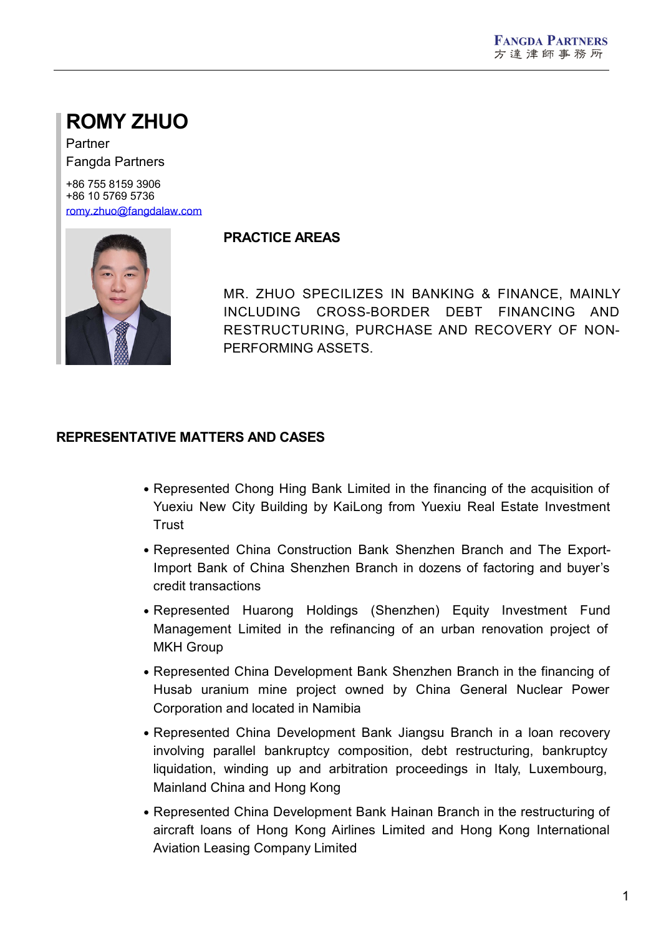# **ROMY ZHUO**

Partner Fangda Partners

+86 755 8159 3906 +86 10 5769 5736 [romy.zhuo@fangdalaw.com](mailto:romy.zhuo@fangdalaw.com)



## **PRACTICE AREAS**

MR. ZHUO SPECILIZES IN BANKING & FINANCE, MAINLY INCLUDING CROSS-BORDER DEBT FINANCING AND RESTRUCTURING, PURCHASE AND RECOVERY OF NON- PERFORMING ASSETS.

## **REPRESENTATIVE MATTERS AND CASES**

- Represented Chong Hing Bank Limited in the financing of the acquisition of Yuexiu New City Building by KaiLong from Yuexiu Real Estate Investment Trust
- Represented China Construction Bank Shenzhen Branch and The Export-Import Bank of China Shenzhen Branch in dozens of factoring and buyer's credit transactions
- Represented Huarong Holdings (Shenzhen) Equity Investment Fund Management Limited in the refinancing of an urban renovation project of MKH Group
- Represented China Development Bank Shenzhen Branch in the financing of Husab uranium mine project owned by China General Nuclear Power Corporation and located in Namibia
- Represented China Development Bank Jiangsu Branch in a loan recovery involving parallel bankruptcy composition, debt restructuring, bankruptcy liquidation, winding up and arbitration proceedings in Italy, Luxembourg, Mainland China and Hong Kong
- Represented China Development Bank Hainan Branch in the restructuring of aircraft loans of Hong Kong Airlines Limited and Hong Kong International Aviation Leasing Company Limited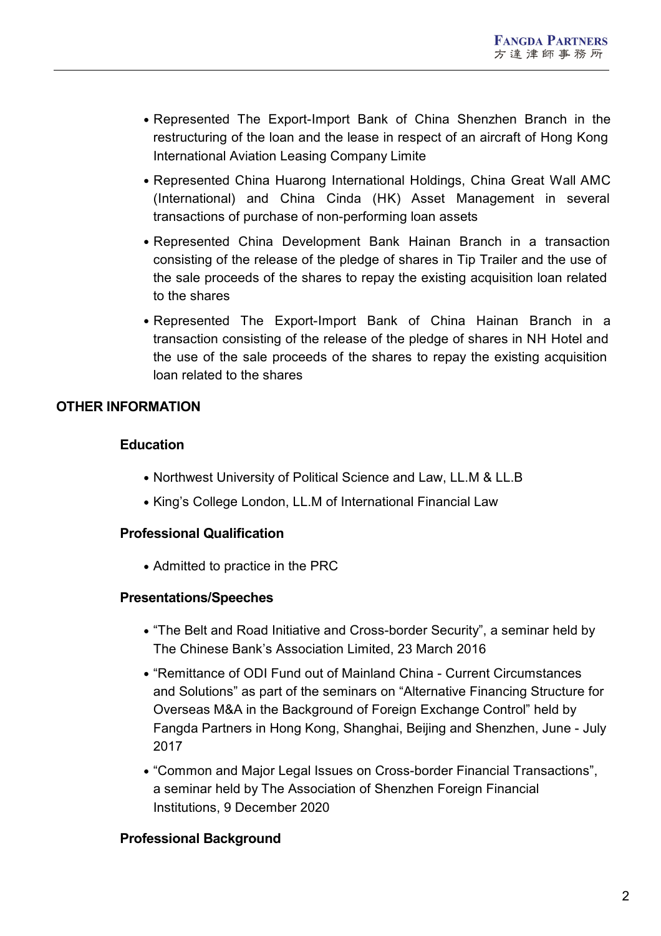- Represented The Export-Import Bank of China Shenzhen Branch in the restructuring of the loan and the lease in respect of an aircraft of Hong Kong International Aviation Leasing Company Limite
- Represented China Huarong International Holdings, China Great Wall AMC (International) and China Cinda (HK) Asset Management in several transactions of purchase of non-performing loan assets
- Represented China Development Bank Hainan Branch in a transaction consisting of the release of the pledge of shares in Tip Trailer and the use of the sale proceeds of the shares to repay the existing acquisition loan related to the shares
- Represented The Export-Import Bank of China Hainan Branch in a transaction consisting of the release of the pledge of shares in NH Hotel and the use of the sale proceeds of the shares to repay the existing acquisition loan related to the shares

# **OTHER INFORMATION**

# **Education**

- Northwest University of Political Science and Law, LL.M & LL.B
- King's College London, LL.M of International Financial Law

# **Professional Qualification**

• Admitted to practice in the PRC

## **Presentations/Speeches**

- "The Belt and Road Initiative and Cross-border Security", a seminar held by The Chinese Bank's Association Limited, 23 March 2016
- "Remittance of ODI Fund out of Mainland China Current Circumstances and Solutions" as part of the seminars on "Alternative Financing Structure for Overseas M&A in the Background of Foreign Exchange Control" held by Fangda Partners in Hong Kong, Shanghai, Beijing and Shenzhen, June - July 2017
- "Common and Major Legal Issues on Cross-border Financial Transactions", a seminar held by The Association of Shenzhen Foreign Financial Institutions, 9 December 2020

## **Professional Background**